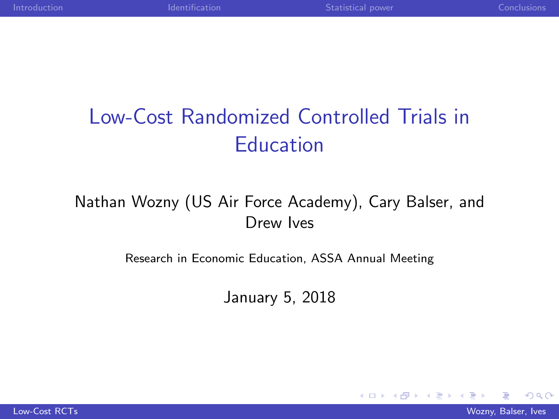$\sim$   $\sim$ 

# <span id="page-0-0"></span>Low-Cost Randomized Controlled Trials in **Education**

#### Nathan Wozny (US Air Force Academy), Cary Balser, and Drew Ives

#### Research in Economic Education, ASSA Annual Meeting

January 5, 2018

**[Low-Cost RCTs](#page-14-0)** Wozny, Balser, Ives, 2008. The Cost of the Cost of the Cost of the Cost of the Cost of the Cost of the Cost of the Cost of the Cost of the Cost of the Cost of the Cost of the Cost of the Cost of the Cost of

 $200$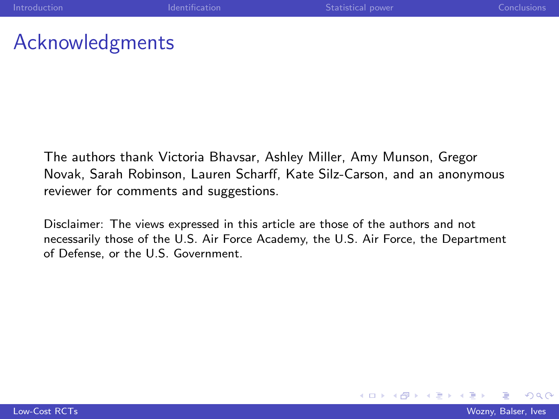4 0 8

#### Acknowledgments

The authors thank Victoria Bhavsar, Ashley Miller, Amy Munson, Gregor Novak, Sarah Robinson, Lauren Scharff, Kate Silz-Carson, and an anonymous reviewer for comments and suggestions.

Disclaimer: The views expressed in this article are those of the authors and not necessarily those of the U.S. Air Force Academy, the U.S. Air Force, the Department of Defense, or the U.S. Government.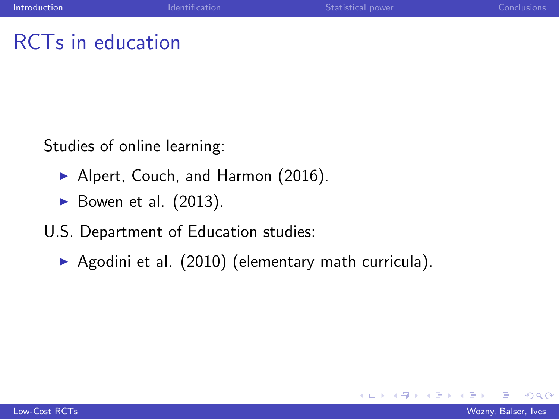## <span id="page-2-0"></span>RCTs in education

Studies of online learning:

- ▶ Alpert, Couch, and Harmon (2016).
- $\triangleright$  Bowen et al. (2013).
- U.S. Department of Education studies:
	- Agodini et al.  $(2010)$  (elementary math curricula).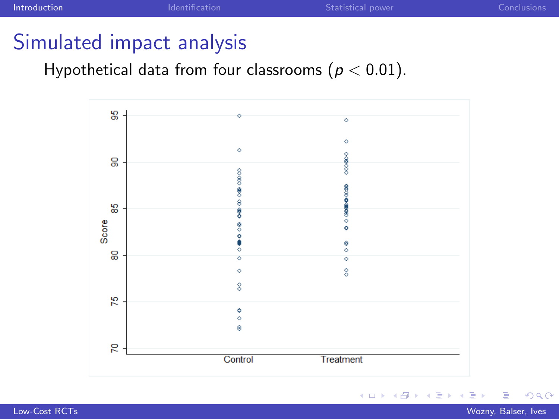$\leftarrow$ 

 $\sim$ 

## Simulated impact analysis

Hypothetical data from four classrooms ( $p < 0.01$ ).



Έ

 $QQ$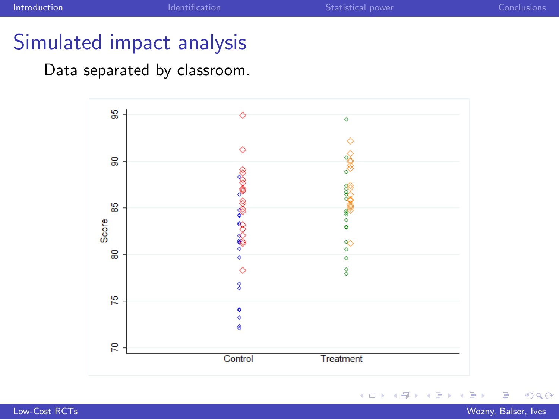4日)

伺

a.  $\sim$ 

## Simulated impact analysis

#### Data separated by classroom.



∍

つくへ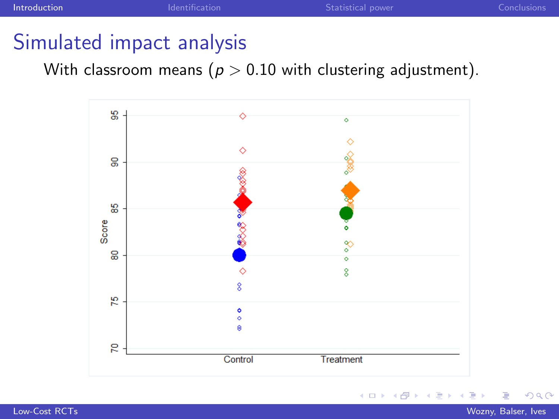$\leftarrow$ 

## Simulated impact analysis

With classroom means ( $p > 0.10$  with clustering adjustment).



Ξ [Low-Cost RCTs](#page-0-0) Wozny, Balser, Ives

 $QQ$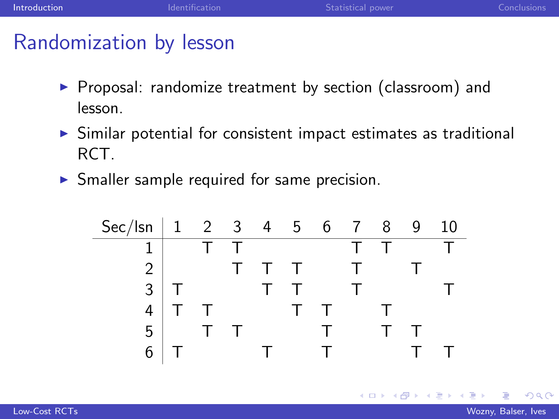### Randomization by lesson

- $\triangleright$  Proposal: randomize treatment by section (classroom) and lesson.
- $\triangleright$  Similar potential for consistent impact estimates as traditional RCT.
- $\triangleright$  Smaller sample required for same precision.

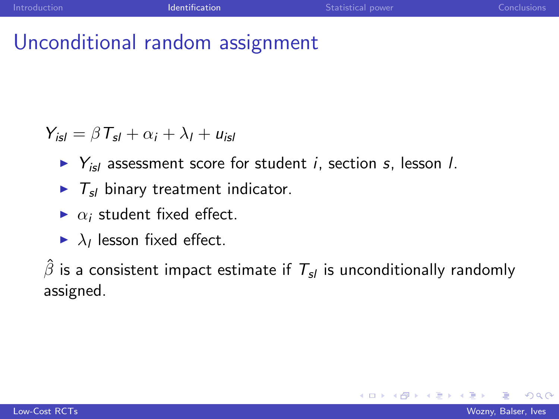## <span id="page-7-0"></span>Unconditional random assignment

 $Y_{\text{is}l} = \beta T_{\text{sl}} + \alpha_i + \lambda_l + u_{\text{is}l}$ 

- $\triangleright$   $Y_{\text{isl}}$  assessment score for student *i*, section *s*, lesson *l*.
- $\blacktriangleright$   $T_{sl}$  binary treatment indicator.
- $\triangleright$   $\alpha_i$  student fixed effect.
- $\blacktriangleright$   $\lambda_l$  lesson fixed effect.

 $\hat{\beta}$  is a consistent impact estimate if  $T_{sl}$  is unconditionally randomly assigned.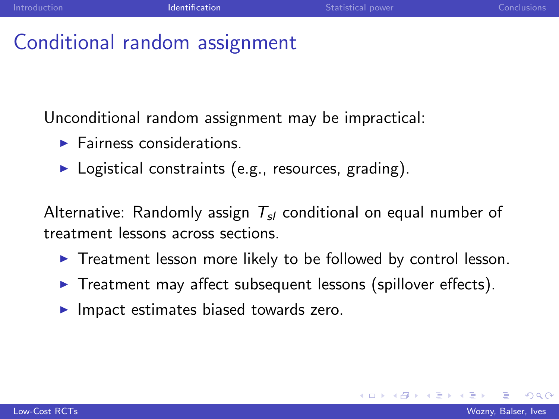## Conditional random assignment

Unconditional random assignment may be impractical:

- $\blacktriangleright$  Fairness considerations.
- $\blacktriangleright$  Logistical constraints (e.g., resources, grading).

Alternative: Randomly assign  $T_{sl}$  conditional on equal number of treatment lessons across sections.

- $\triangleright$  Treatment lesson more likely to be followed by control lesson.
- $\triangleright$  Treatment may affect subsequent lessons (spillover effects).
- $\blacktriangleright$  Impact estimates biased towards zero.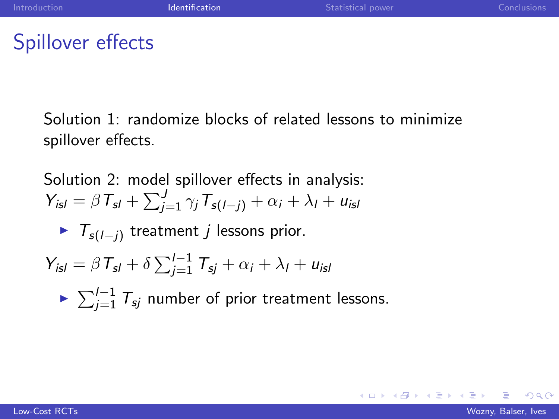## Spillover effects

Solution 1: randomize blocks of related lessons to minimize spillover effects.

Solution 2: model spillover effects in analysis:  $Y_{isl} = \beta T_{sl} + \sum_{j=1}^{J} \gamma_j T_{s(l-j)} + \alpha_i + \lambda_l + u_{isl}$ ►  $T_{s(l-j)}$  treatment *j* lessons prior.  $Y_{\text{isl}} = \beta T_{\text{sl}} + \delta \sum_{j=1}^{l-1} T_{\text{sj}} + \alpha_i + \lambda_l + u_{\text{isl}}$ ►  $\sum_{j=1}^{I-1} T_{sj}$  number of prior treatment lessons.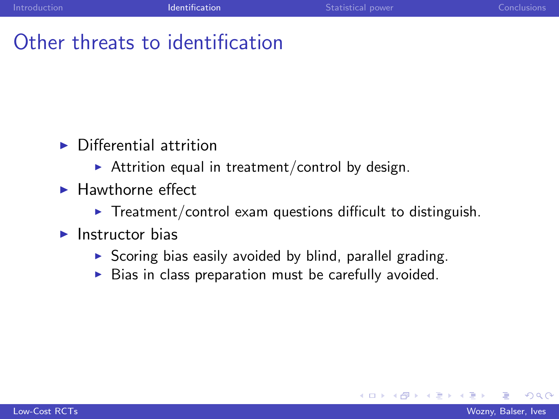## Other threats to identification

- $\triangleright$  Differential attrition
	- Attrition equal in treatment/control by design.
- $\blacktriangleright$  Hawthorne effect
	- $\triangleright$  Treatment/control exam questions difficult to distinguish.
- $\blacktriangleright$  Instructor bias
	- $\triangleright$  Scoring bias easily avoided by blind, parallel grading.
	- $\triangleright$  Bias in class preparation must be carefully avoided.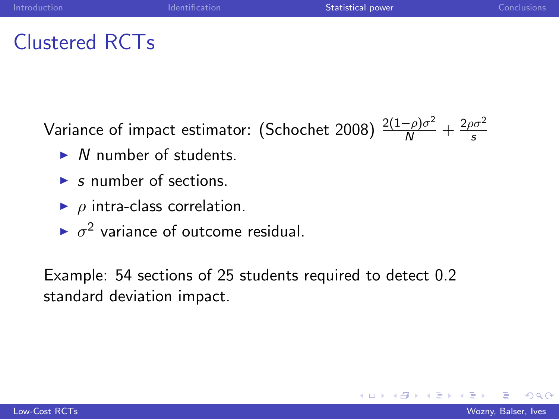## <span id="page-11-0"></span>Clustered RCTs

Variance of impact estimator: (Schochet 2008)  $\frac{2(1-\rho)\sigma^2}{N} + \frac{2\rho\sigma^2}{s}$ s

- $\triangleright$  N number of students.
- $\triangleright$  s number of sections.
- $\rho$  intra-class correlation.
- $\sim \sigma^2$  variance of outcome residual.

Example: 54 sections of 25 students required to detect 0.2 standard deviation impact.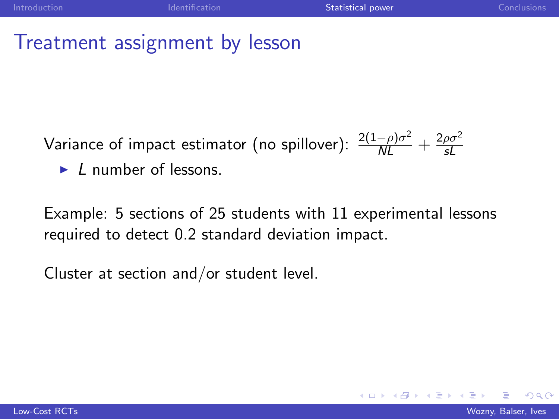### Treatment assignment by lesson

Variance of impact estimator (no spillover):  $\frac{2(1-\rho)\sigma^2}{NL} + \frac{2\rho\sigma^2}{sL}$ sL

 $\blacktriangleright$  L number of lessons.

Example: 5 sections of 25 students with 11 experimental lessons required to detect 0.2 standard deviation impact.

Cluster at section and/or student level.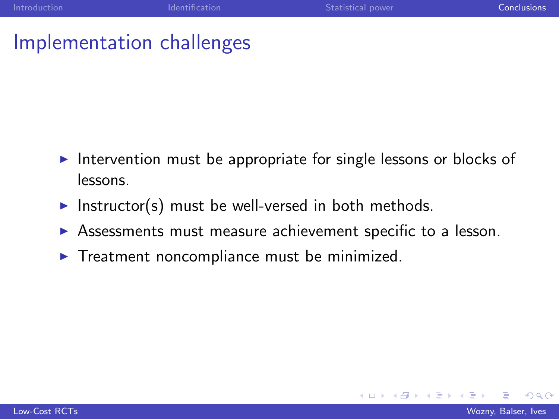## <span id="page-13-0"></span>Implementation challenges

- $\blacktriangleright$  Intervention must be appropriate for single lessons or blocks of lessons.
- Instructor(s) must be well-versed in both methods.
- $\triangleright$  Assessments must measure achievement specific to a lesson.
- $\triangleright$  Treatment noncompliance must be minimized.